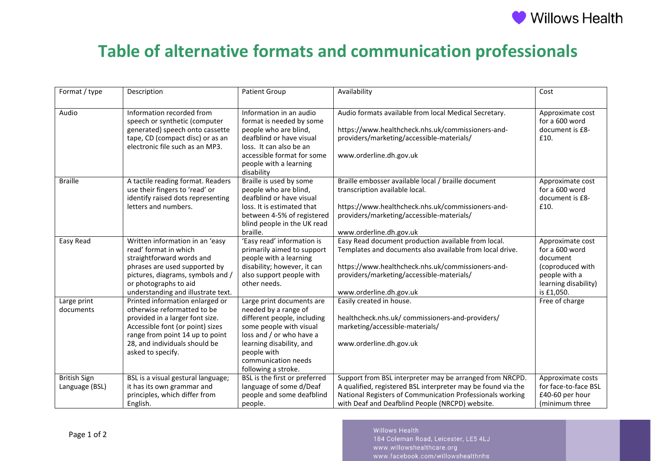

## **Table of alternative formats and communication professionals**

| Format / type       | Description                        | <b>Patient Group</b>                    | Availability                                                 | Cost                 |
|---------------------|------------------------------------|-----------------------------------------|--------------------------------------------------------------|----------------------|
|                     |                                    |                                         |                                                              |                      |
| Audio               | Information recorded from          | Information in an audio                 | Audio formats available from local Medical Secretary.        | Approximate cost     |
|                     | speech or synthetic (computer      | format is needed by some                |                                                              | for a 600 word       |
|                     | generated) speech onto cassette    | people who are blind,                   | https://www.healthcheck.nhs.uk/commissioners-and-            | document is £8-      |
|                     | tape, CD (compact disc) or as an   | deafblind or have visual                | providers/marketing/accessible-materials/                    | £10.                 |
|                     | electronic file such as an MP3.    | loss. It can also be an                 |                                                              |                      |
|                     |                                    | accessible format for some              | www.orderline.dh.gov.uk                                      |                      |
|                     |                                    | people with a learning                  |                                                              |                      |
|                     |                                    | disability                              |                                                              |                      |
| <b>Braille</b>      | A tactile reading format. Readers  | Braille is used by some                 | Braille embosser available local / braille document          | Approximate cost     |
|                     | use their fingers to 'read' or     | people who are blind,                   | transcription available local.                               | for a 600 word       |
|                     | identify raised dots representing  | deafblind or have visual                |                                                              | document is £8-      |
|                     | letters and numbers.               | loss. It is estimated that              | https://www.healthcheck.nhs.uk/commissioners-and-            | £10.                 |
|                     |                                    | between 4-5% of registered              | providers/marketing/accessible-materials/                    |                      |
|                     |                                    | blind people in the UK read             |                                                              |                      |
|                     |                                    | braille.                                | www.orderline.dh.gov.uk                                      |                      |
| Easy Read           | Written information in an 'easy    | 'Easy read' information is              | Easy Read document production available from local.          | Approximate cost     |
|                     | read' format in which              | primarily aimed to support              | Templates and documents also available from local drive.     | for a 600 word       |
|                     | straightforward words and          | people with a learning                  |                                                              | document             |
|                     | phrases are used supported by      | disability; however, it can             | https://www.healthcheck.nhs.uk/commissioners-and-            | (coproduced with     |
|                     | pictures, diagrams, symbols and /  | also support people with                | providers/marketing/accessible-materials/                    | people with a        |
|                     | or photographs to aid              | other needs.                            |                                                              | learning disability) |
|                     | understanding and illustrate text. |                                         | www.orderline.dh.gov.uk                                      | is £1,050.           |
| Large print         | Printed information enlarged or    | Large print documents are               | Easily created in house.                                     | Free of charge       |
| documents           | otherwise reformatted to be        | needed by a range of                    |                                                              |                      |
|                     | provided in a larger font size.    | different people, including             | healthcheck.nhs.uk/commissioners-and-providers/              |                      |
|                     | Accessible font (or point) sizes   | some people with visual                 | marketing/accessible-materials/                              |                      |
|                     | range from point 14 up to point    | loss and / or who have a                |                                                              |                      |
|                     | 28, and individuals should be      | learning disability, and<br>people with | www.orderline.dh.gov.uk                                      |                      |
|                     | asked to specify.                  | communication needs                     |                                                              |                      |
|                     |                                    | following a stroke.                     |                                                              |                      |
| <b>British Sign</b> | BSL is a visual gestural language; | BSL is the first or preferred           | Support from BSL interpreter may be arranged from NRCPD.     | Approximate costs    |
| Language (BSL)      | it has its own grammar and         | language of some d/Deaf                 | A qualified, registered BSL interpreter may be found via the | for face-to-face BSL |
|                     | principles, which differ from      | people and some deafblind               | National Registers of Communication Professionals working    | £40-60 per hour      |
|                     | English.                           | people.                                 | with Deaf and Deafblind People (NRCPD) website.              | (minimum three)      |